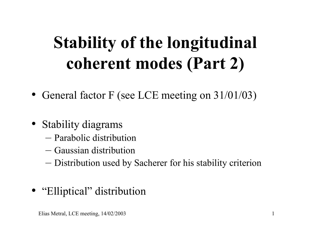# **Stability of the longitudinal coherent modes (Part 2)**

- General factor F (see LCE meeting on 31/01/03)
- Stability diagrams
	- Parabolic distribution
	- Gaussian distribution
	- Distribution used by Sacherer for his stability criterion
- "Elliptical" distribution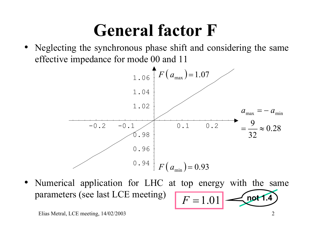## **General factor F**

• Neglecting the synchronous phase shift and considering the same effective impedance for mode 00 and 11



• Numerical application for LHC at top energy with the same parameters (see last LCE meeting)  $F = 1.01$  not 1.4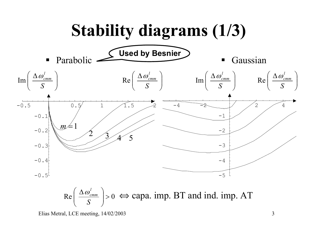

 $Re \mid \frac{1 - cos_{cmm}}{cos_{cmm}} \mid >$  $\left(\frac{\Delta \omega_{cmm}^l}{S}\right) > 0 \iff \text{capa. imp. BT and ind. imp. AT}$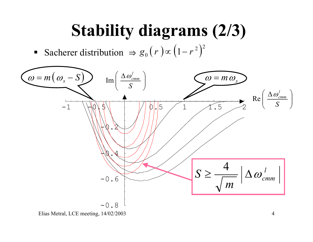# **Stability diagrams (2/3)**

 $\int_0^1 (r) \infty \left( 1 - r^2 \right)^2$ Sacherer distribution  $\Rightarrow g$ 

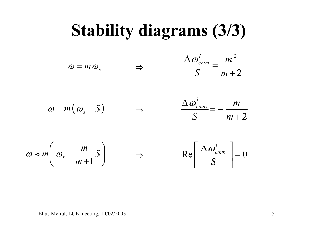#### **Stability diagrams (3/3)**

$$
\omega = m \omega_s \qquad \Rightarrow \qquad \frac{\Delta \omega_{cmm}^l}{S} = \frac{m^2}{m+2}
$$

$$
\omega = m(\omega_s - S) \qquad \Rightarrow \qquad \frac{\Delta \omega_{cmm}}{S}
$$

$$
\frac{\Delta \omega_{cmm}^l}{S} = -\frac{m}{m+2}
$$

$$
\omega \approx m \left( \omega_s - \frac{m}{m+1} S \right) \qquad \Rightarrow \qquad \text{Re} \left[ \frac{\Delta \omega_{\text{cmm}}^l}{S} \right] = 0
$$

$$
\text{Re}\left[\frac{\Delta \omega_{cmm}^l}{S}\right] = 0
$$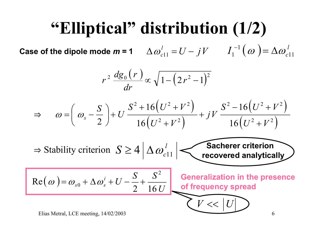## **"Elliptical" distribution (1/2)**

Case of the dipole mode  $m = 1$   $\Delta \omega_{c11}^l = U - jV$   $I_1^{-1}(\omega) = \Delta \omega_{c11}^l$ 

$$
r^2 \frac{dg_0(r)}{dr} \propto \sqrt{1 - \left(2r^2 - 1\right)^2}
$$

$$
\Rightarrow \qquad \omega = \left(\omega_s - \frac{S}{2}\right) + U \frac{S^2 + 16\left(U^2 + V^2\right)}{16\left(U^2 + V^2\right)} + jV \frac{S^2 - 16\left(U^2 + V^2\right)}{16\left(U^2 + V^2\right)}
$$

$$
\Rightarrow
$$
 Stability criterion  $S \ge 4 \left| \Delta \omega_{c11}^1 \right|$  **Sacherer criterion recovered analytically**

$$
\text{Re}(\omega) = \omega_{s0} + \Delta \omega_s^i + U - \frac{S}{2} + \frac{S^2}{16 U} \text{ Generalization in the presence of frequency spread}
$$